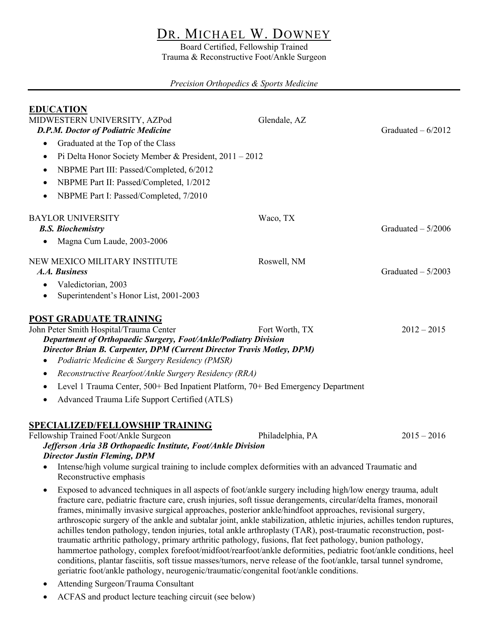# DR. MICHAEL W. DOWNEY

Board Certified, Fellowship Trained Trauma & Reconstructive Foot/Ankle Surgeon

# *Precision Orthopedics & Sports Medicine*

| <b>EDUCATION</b><br>MIDWESTERN UNIVERSITY, AZPod<br><b>D.P.M. Doctor of Podiatric Medicine</b>                                                                                                                                                                                                                                                                                                                                                                                                                                                                                                                                                                                                                                                                                                                                                                                                                                                                                                                                                             | Glendale, AZ | Graduated $-6/2012$ |                                                            |
|------------------------------------------------------------------------------------------------------------------------------------------------------------------------------------------------------------------------------------------------------------------------------------------------------------------------------------------------------------------------------------------------------------------------------------------------------------------------------------------------------------------------------------------------------------------------------------------------------------------------------------------------------------------------------------------------------------------------------------------------------------------------------------------------------------------------------------------------------------------------------------------------------------------------------------------------------------------------------------------------------------------------------------------------------------|--------------|---------------------|------------------------------------------------------------|
| Graduated at the Top of the Class<br>$\bullet$                                                                                                                                                                                                                                                                                                                                                                                                                                                                                                                                                                                                                                                                                                                                                                                                                                                                                                                                                                                                             |              |                     |                                                            |
| Pi Delta Honor Society Member & President, $2011 - 2012$<br>$\bullet$                                                                                                                                                                                                                                                                                                                                                                                                                                                                                                                                                                                                                                                                                                                                                                                                                                                                                                                                                                                      |              |                     |                                                            |
| NBPME Part III: Passed/Completed, 6/2012<br>$\bullet$                                                                                                                                                                                                                                                                                                                                                                                                                                                                                                                                                                                                                                                                                                                                                                                                                                                                                                                                                                                                      |              |                     |                                                            |
| NBPME Part II: Passed/Completed, 1/2012<br>$\bullet$                                                                                                                                                                                                                                                                                                                                                                                                                                                                                                                                                                                                                                                                                                                                                                                                                                                                                                                                                                                                       |              |                     |                                                            |
| NBPME Part I: Passed/Completed, 7/2010<br>$\bullet$                                                                                                                                                                                                                                                                                                                                                                                                                                                                                                                                                                                                                                                                                                                                                                                                                                                                                                                                                                                                        |              |                     |                                                            |
| <b>BAYLOR UNIVERSITY</b><br><b>B.S. Biochemistry</b>                                                                                                                                                                                                                                                                                                                                                                                                                                                                                                                                                                                                                                                                                                                                                                                                                                                                                                                                                                                                       | Waco, TX     | Graduated $-5/2006$ |                                                            |
| Magna Cum Laude, 2003-2006<br>٠                                                                                                                                                                                                                                                                                                                                                                                                                                                                                                                                                                                                                                                                                                                                                                                                                                                                                                                                                                                                                            |              |                     |                                                            |
| NEW MEXICO MILITARY INSTITUTE<br>A.A. Business                                                                                                                                                                                                                                                                                                                                                                                                                                                                                                                                                                                                                                                                                                                                                                                                                                                                                                                                                                                                             | Roswell, NM  | Graduated $-5/2003$ |                                                            |
| Valedictorian, 2003<br>Superintendent's Honor List, 2001-2003<br>$\bullet$                                                                                                                                                                                                                                                                                                                                                                                                                                                                                                                                                                                                                                                                                                                                                                                                                                                                                                                                                                                 |              |                     |                                                            |
| POST GRADUATE TRAINING<br>John Peter Smith Hospital/Trauma Center<br>Fort Worth, TX<br>$2012 - 2015$<br>Department of Orthopaedic Surgery, Foot/Ankle/Podiatry Division<br>Director Brian B. Carpenter, DPM (Current Director Travis Motley, DPM)<br>Podiatric Medicine & Surgery Residency (PMSR)                                                                                                                                                                                                                                                                                                                                                                                                                                                                                                                                                                                                                                                                                                                                                         |              |                     |                                                            |
| Reconstructive Rearfoot/Ankle Surgery Residency (RRA)<br>٠<br>Level 1 Trauma Center, 500+ Bed Inpatient Platform, 70+ Bed Emergency Department                                                                                                                                                                                                                                                                                                                                                                                                                                                                                                                                                                                                                                                                                                                                                                                                                                                                                                             |              |                     |                                                            |
|                                                                                                                                                                                                                                                                                                                                                                                                                                                                                                                                                                                                                                                                                                                                                                                                                                                                                                                                                                                                                                                            |              |                     | Advanced Trauma Life Support Certified (ATLS)<br>$\bullet$ |
| <b>SPECIALIZED/FELLOWSHIP TRAINING</b><br>Fellowship Trained Foot/Ankle Surgeon<br>$2015 - 2016$<br>Philadelphia, PA<br>Jefferson Aria 3B Orthopaedic Institute, Foot/Ankle Division<br><b>Director Justin Fleming, DPM</b><br>Intense/high volume surgical training to include complex deformities with an advanced Traumatic and<br>٠<br>Reconstructive emphasis                                                                                                                                                                                                                                                                                                                                                                                                                                                                                                                                                                                                                                                                                         |              |                     |                                                            |
| Exposed to advanced techniques in all aspects of foot/ankle surgery including high/low energy trauma, adult<br>$\bullet$<br>fracture care, pediatric fracture care, crush injuries, soft tissue derangements, circular/delta frames, monorail<br>frames, minimally invasive surgical approaches, posterior ankle/hindfoot approaches, revisional surgery,<br>arthroscopic surgery of the ankle and subtalar joint, ankle stabilization, athletic injuries, achilles tendon ruptures,<br>achilles tendon pathology, tendon injuries, total ankle arthroplasty (TAR), post-traumatic reconstruction, post-<br>traumatic arthritic pathology, primary arthritic pathology, fusions, flat feet pathology, bunion pathology,<br>hammertoe pathology, complex forefoot/midfoot/rearfoot/ankle deformities, pediatric foot/ankle conditions, heel<br>conditions, plantar fasciitis, soft tissue masses/tumors, nerve release of the foot/ankle, tarsal tunnel syndrome,<br>geriatric foot/ankle pathology, neurogenic/traumatic/congenital foot/ankle conditions. |              |                     |                                                            |

- Attending Surgeon/Trauma Consultant
- ACFAS and product lecture teaching circuit (see below)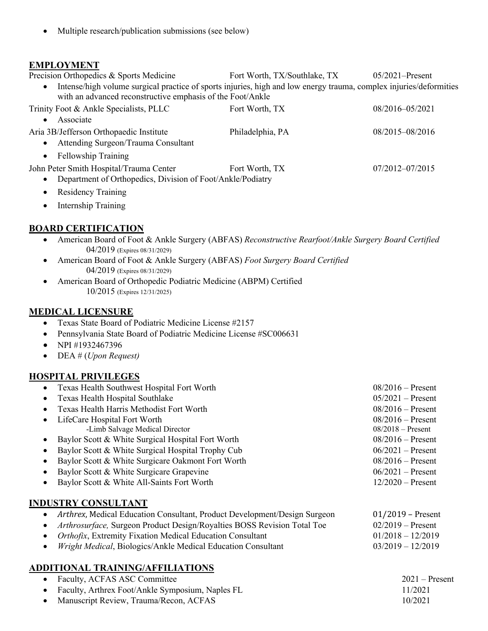• Multiple research/publication submissions (see below)

#### **EMPLOYMENT**

Precision Orthopedics & Sports Medicine Fort Worth, TX/Southlake, TX 05/2021–Present • Intense/high volume surgical practice of sports injuries, high and low energy trauma, complex injuries/deformities with an advanced reconstructive emphasis of the Foot/Ankle

| while all advanced reconsulative emphasis of the Pool Alikie |                  |                     |
|--------------------------------------------------------------|------------------|---------------------|
| Trinity Foot & Ankle Specialists, PLLC                       | Fort Worth, TX   | 08/2016-05/2021     |
| Associate                                                    |                  |                     |
| Aria 3B/Jefferson Orthopaedic Institute                      | Philadelphia, PA | 08/2015-08/2016     |
| Attending Surgeon/Trauma Consultant                          |                  |                     |
| <b>Fellowship Training</b><br>$\bullet$                      |                  |                     |
| John Peter Smith Hospital/Trauma Center                      | Fort Worth, TX   | $07/2012 - 07/2015$ |
| Department of Orthopedics, Division of Foot/Ankle/Podiatry   |                  |                     |

- Residency Training
- Internship Training

#### **BOARD CERTIFICATION**

- American Board of Foot & Ankle Surgery (ABFAS) *Reconstructive Rearfoot/Ankle Surgery Board Certified* 04/2019 (Expires 08/31/2029)
- American Board of Foot & Ankle Surgery (ABFAS) *Foot Surgery Board Certified* 04/2019 (Expires 08/31/2029)
- American Board of Orthopedic Podiatric Medicine (ABPM) Certified 10/2015 (Expires 12/31/2025)

# **MEDICAL LICENSURE**

- Texas State Board of Podiatric Medicine License #2157
- Pennsylvania State Board of Podiatric Medicine License #SC006631
- NPI #1932467396
- DEA # (*Upon Request)*

#### **HOSPITAL PRIVILEGES**

| • Texas Health Southwest Hospital Fort Worth                                    | $08/2016$ – Present       |
|---------------------------------------------------------------------------------|---------------------------|
| Texas Health Hospital Southlake<br>$\bullet$                                    | $05/2021$ – Present       |
| Texas Health Harris Methodist Fort Worth                                        | $08/2016$ – Present       |
| LifeCare Hospital Fort Worth                                                    | $08/2016$ – Present       |
| -Limb Salvage Medical Director                                                  | $08/2018$ – Present       |
| Baylor Scott & White Surgical Hospital Fort Worth                               | $08/2016$ – Present       |
| Baylor Scott & White Surgical Hospital Trophy Cub                               | $06/2021 -$ Present       |
| Baylor Scott & White Surgicare Oakmont Fort Worth                               | $08/2016 -$ Present       |
| Baylor Scott & White Surgicare Grapevine                                        | $06/2021$ – Present       |
| Baylor Scott & White All-Saints Fort Worth                                      | $12/2020$ – Present       |
| INDUSTRY CONSULTANT                                                             |                           |
| Arthrex, Medical Education Consultant, Product Development/Design Surgeon       | $01/2019$ – Present       |
| $\sim$ dulus emperor Concrete Dustant Design Develope DOCC Deviation Text Tree. | $0.2010$ $\sum_{n=2}^{8}$ |

- *Arthrosurface,* Surgeon Product Design/Royalties BOSS Revision Total Toe 02/2019 Present
- *Orthofix*, Extremity Fixation Medical Education Consultant 01/2018 12/2019 • *Wright Medical*, Biologics/Ankle Medical Education Consultant 03/2019 – 12/2019

# **ADDITIONAL TRAINING/AFFILIATIONS**

| • Faculty, ACFAS ASC Committee                     | $2021 -$ Present |
|----------------------------------------------------|------------------|
| • Faculty, Arthrex Foot/Ankle Symposium, Naples FL | 11/2021          |
| • Manuscript Review, Trauma/Recon, ACFAS           | 10/2021          |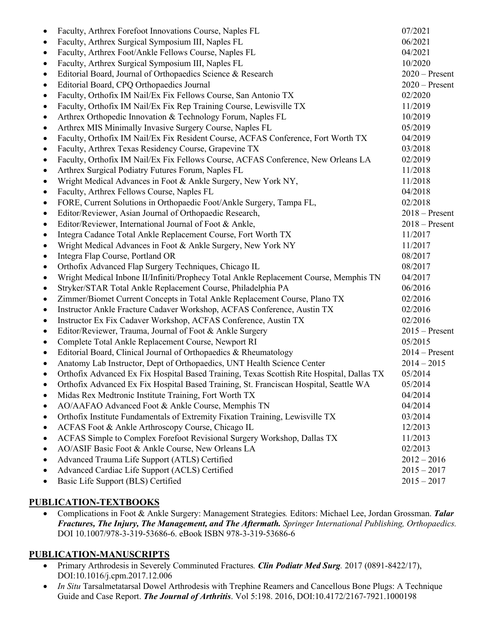| ٠         | Faculty, Arthrex Forefoot Innovations Course, Naples FL                                   | 07/2021          |
|-----------|-------------------------------------------------------------------------------------------|------------------|
| $\bullet$ | Faculty, Arthrex Surgical Symposium III, Naples FL                                        | 06/2021          |
| $\bullet$ | Faculty, Arthrex Foot/Ankle Fellows Course, Naples FL                                     | 04/2021          |
| $\bullet$ | Faculty, Arthrex Surgical Symposium III, Naples FL                                        | 10/2020          |
| $\bullet$ | Editorial Board, Journal of Orthopaedics Science & Research                               | $2020$ – Present |
| $\bullet$ | Editorial Board, CPQ Orthopaedics Journal                                                 | $2020$ – Present |
| $\bullet$ | Faculty, Orthofix IM Nail/Ex Fix Fellows Course, San Antonio TX                           | 02/2020          |
| ٠         | Faculty, Orthofix IM Nail/Ex Fix Rep Training Course, Lewisville TX                       | 11/2019          |
| $\bullet$ | Arthrex Orthopedic Innovation & Technology Forum, Naples FL                               | 10/2019          |
| $\bullet$ | Arthrex MIS Minimally Invasive Surgery Course, Naples FL                                  | 05/2019          |
| $\bullet$ | Faculty, Orthofix IM Nail/Ex Fix Resident Course, ACFAS Conference, Fort Worth TX         | 04/2019          |
| $\bullet$ | Faculty, Arthrex Texas Residency Course, Grapevine TX                                     | 03/2018          |
| $\bullet$ | Faculty, Orthofix IM Nail/Ex Fix Fellows Course, ACFAS Conference, New Orleans LA         | 02/2019          |
| $\bullet$ | Arthrex Surgical Podiatry Futures Forum, Naples FL                                        | 11/2018          |
| $\bullet$ | Wright Medical Advances in Foot & Ankle Surgery, New York NY,                             | 11/2018          |
| $\bullet$ | Faculty, Arthrex Fellows Course, Naples FL                                                | 04/2018          |
| $\bullet$ | FORE, Current Solutions in Orthopaedic Foot/Ankle Surgery, Tampa FL,                      | 02/2018          |
| ٠         | Editor/Reviewer, Asian Journal of Orthopaedic Research,                                   | $2018 -$ Present |
| $\bullet$ | Editor/Reviewer, International Journal of Foot & Ankle,                                   | $2018 -$ Present |
| $\bullet$ | Integra Cadance Total Ankle Replacement Course, Fort Worth TX                             | 11/2017          |
| $\bullet$ | Wright Medical Advances in Foot & Ankle Surgery, New York NY                              | 11/2017          |
| ٠         | Integra Flap Course, Portland OR                                                          | 08/2017          |
| $\bullet$ | Orthofix Advanced Flap Surgery Techniques, Chicago IL                                     | 08/2017          |
| $\bullet$ | Wright Medical Inbone II/Infiniti/Prophecy Total Ankle Replacement Course, Memphis TN     | 04/2017          |
| $\bullet$ | Stryker/STAR Total Ankle Replacement Course, Philadelphia PA                              | 06/2016          |
| $\bullet$ | Zimmer/Biomet Current Concepts in Total Ankle Replacement Course, Plano TX                | 02/2016          |
| $\bullet$ | Instructor Ankle Fracture Cadaver Workshop, ACFAS Conference, Austin TX                   | 02/2016          |
| $\bullet$ | Instructor Ex Fix Cadaver Workshop, ACFAS Conference, Austin TX                           | 02/2016          |
| $\bullet$ | Editor/Reviewer, Trauma, Journal of Foot & Ankle Surgery                                  | $2015 -$ Present |
| $\bullet$ | Complete Total Ankle Replacement Course, Newport RI                                       | 05/2015          |
| $\bullet$ | Editorial Board, Clinical Journal of Orthopaedics & Rheumatology                          | $2014 -$ Present |
|           | Anatomy Lab Instructor, Dept of Orthopaedics, UNT Health Science Center                   | $2014 - 2015$    |
|           | Orthofix Advanced Ex Fix Hospital Based Training, Texas Scottish Rite Hospital, Dallas TX | 05/2014          |
|           | Orthofix Advanced Ex Fix Hospital Based Training, St. Franciscan Hospital, Seattle WA     | 05/2014          |
|           | Midas Rex Medtronic Institute Training, Fort Worth TX                                     | 04/2014          |
|           | AO/AAFAO Advanced Foot & Ankle Course, Memphis TN                                         | 04/2014          |
| $\bullet$ | Orthofix Institute Fundamentals of Extremity Fixation Training, Lewisville TX             | 03/2014          |
| $\bullet$ | ACFAS Foot & Ankle Arthroscopy Course, Chicago IL                                         | 12/2013          |
| $\bullet$ | ACFAS Simple to Complex Forefoot Revisional Surgery Workshop, Dallas TX                   | 11/2013          |
| $\bullet$ | AO/ASIF Basic Foot & Ankle Course, New Orleans LA                                         | 02/2013          |
| $\bullet$ | Advanced Trauma Life Support (ATLS) Certified                                             | $2012 - 2016$    |
|           | Advanced Cardiac Life Support (ACLS) Certified                                            | $2015 - 2017$    |
|           | Basic Life Support (BLS) Certified                                                        | $2015 - 2017$    |

# **PUBLICATION-TEXTBOOKS**

• Complications in Foot & Ankle Surgery: Management Strategies*.* Editors: Michael Lee, Jordan Grossman. *Talar Fractures, The Injury, The Management, and The Aftermath. Springer International Publishing, Orthopaedics.*  DOI 10.1007/978-3-319-53686-6. eBook ISBN 978-3-319-53686-6

# **PUBLICATION-MANUSCRIPTS**

- Primary Arthrodesis in Severely Comminuted Fractures*. Clin Podiatr Med Surg.* 2017 (0891-8422/17), DOI:10.1016/j.cpm.2017.12.006
- *In Situ* Tarsalmetatarsal Dowel Arthrodesis with Trephine Reamers and Cancellous Bone Plugs: A Technique Guide and Case Report. *The Journal of Arthritis*. Vol 5:198. 2016, DOI:10.4172/2167-7921.1000198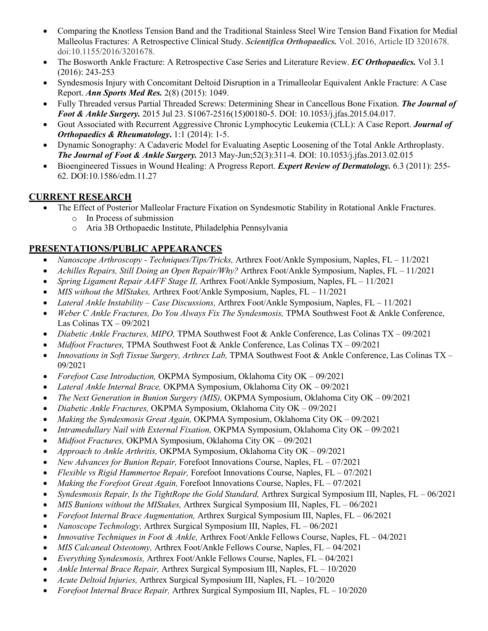- Comparing the Knotless Tension Band and the Traditional Stainless Steel Wire Tension Band Fixation for Medial Malleolus Fractures: A Retrospective Clinical Study. *Scientifica Orthopaedics.* Vol. 2016, Article ID 3201678. doi:10.1155/2016/3201678.
- The Bosworth Ankle Fracture: A Retrospective Case Series and Literature Review. *EC Orthopaedics.* Vol 3.1 (2016): 243-253
- Syndesmosis Injury with Concomitant Deltoid Disruption in a Trimalleolar Equivalent Ankle Fracture: A Case Report. *Ann Sports Med Res.* 2(8) (2015): 1049.
- Fully Threaded versus Partial Threaded Screws: Determining Shear in Cancellous Bone Fixation. *The Journal of Foot & Ankle Surgery.* 2015 Jul 23. S1067-2516(15)00180-5. DOI: 10.1053/j.jfas.2015.04.017.
- Gout Associated with Recurrent Aggressive Chronic Lymphocytic Leukemia (CLL): A Case Report. *Journal of Orthopaedics & Rheumatology***.** 1:1 (2014): 1-5.
- Dynamic Sonography: A Cadaveric Model for Evaluating Aseptic Loosening of the Total Ankle Arthroplasty. *The Journal of Foot & Ankle Surgery.* 2013 May-Jun;52(3):311-4. DOI: 10.1053/j.jfas.2013.02.015
- Bioengineered Tissues in Wound Healing: A Progress Report. *Expert Review of Dermatology.* 6.3 (2011): 255- 62. DOI:10.1586/edm.11.27

# **CURRENT RESEARCH**

- The Effect of Posterior Malleolar Fracture Fixation on Syndesmotic Stability in Rotational Ankle Fractures.
	- o In Process of submission
	- o Aria 3B Orthopaedic Institute, Philadelphia Pennsylvania

# **PRESENTATIONS/PUBLIC APPEARANCES**

- *Nanoscope Arthroscopy - Techniques/Tips/Tricks,* Arthrex Foot/Ankle Symposium, Naples, FL 11/2021
- *Achilles Repairs, Still Doing an Open Repair/Why?* Arthrex Foot/Ankle Symposium, Naples, FL 11/2021
- *Spring Ligament Repair AAFF Stage II,* Arthrex Foot/Ankle Symposium, Naples, FL 11/2021
- *MIS without the MIStakes,* Arthrex Foot/Ankle Symposium, Naples, FL 11/2021
- *Lateral Ankle Instability – Case Discussions,* Arthrex Foot/Ankle Symposium, Naples, FL 11/2021
- *Weber C Ankle Fractures, Do You Always Fix The Syndesmosis,* TPMA Southwest Foot & Ankle Conference, Las Colinas TX – 09/2021
- *Diabetic Ankle Fractures, MIPO,* TPMA Southwest Foot & Ankle Conference, Las Colinas TX 09/2021
- *Midfoot Fractures,* TPMA Southwest Foot & Ankle Conference, Las Colinas TX 09/2021
- *Innovations in Soft Tissue Surgery, Arthrex Lab,* TPMA Southwest Foot & Ankle Conference, Las Colinas TX 09/2021
- *Forefoot Case Introduction,* OKPMA Symposium, Oklahoma City OK 09/2021
- *Lateral Ankle Internal Brace,* OKPMA Symposium, Oklahoma City OK 09/2021
- *The Next Generation in Bunion Surgery (MIS),* OKPMA Symposium, Oklahoma City OK 09/2021
- *Diabetic Ankle Fractures,* OKPMA Symposium, Oklahoma City OK 09/2021
- *Making the Syndesmosis Great Again,* OKPMA Symposium, Oklahoma City OK 09/2021
- *Intramedullary Nail with External Fixation,* OKPMA Symposium, Oklahoma City OK 09/2021
- *Midfoot Fractures,* OKPMA Symposium, Oklahoma City OK 09/2021
- *Approach to Ankle Arthritis,* OKPMA Symposium, Oklahoma City OK 09/2021
- *New Advances for Bunion Repair,* Forefoot Innovations Course, Naples, FL 07/2021
- *Flexible vs Rigid Hammertoe Repair,* Forefoot Innovations Course, Naples, FL 07/2021
- *Making the Forefoot Great Again,* Forefoot Innovations Course, Naples, FL 07/2021
- *Syndesmosis Repair, Is the TightRope the Gold Standard,* Arthrex Surgical Symposium III, Naples, FL 06/2021
- *MIS Bunions without the MIStakes,* Arthrex Surgical Symposium III, Naples, FL 06/2021
- *Forefoot Internal Brace Augmentation,* Arthrex Surgical Symposium III, Naples, FL 06/2021
- *Nanoscope Technology,* Arthrex Surgical Symposium III, Naples, FL 06/2021
- *Innovative Techniques in Foot & Ankle,* Arthrex Foot/Ankle Fellows Course, Naples, FL 04/2021
- *MIS Calcaneal Osteotomy,* Arthrex Foot/Ankle Fellows Course, Naples, FL 04/2021
- *Everything Syndesmosis,* Arthrex Foot/Ankle Fellows Course, Naples, FL 04/2021
- *Ankle Internal Brace Repair,* Arthrex Surgical Symposium III, Naples, FL 10/2020
- *Acute Deltoid Injuries,* Arthrex Surgical Symposium III, Naples, FL 10/2020
- *Forefoot Internal Brace Repair,* Arthrex Surgical Symposium III, Naples, FL 10/2020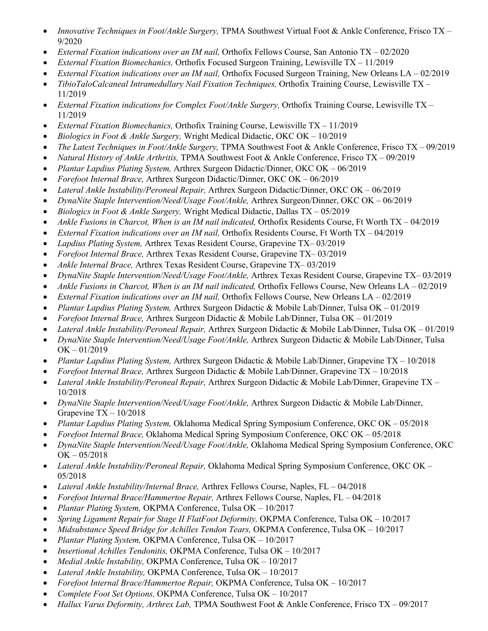- *Innovative Techniques in Foot/Ankle Surgery,* TPMA Southwest Virtual Foot & Ankle Conference, Frisco TX 9/2020
- *External Fixation indications over an IM nail,* Orthofix Fellows Course, San Antonio TX 02/2020
- *External Fixation Biomechanics,* Orthofix Focused Surgeon Training, Lewisville TX 11/2019
- *External Fixation indications over an IM nail,* Orthofix Focused Surgeon Training, New Orleans LA 02/2019
- *TibioTaloCalcaneal Intramedullary Nail Fixation Techniques,* Orthofix Training Course, Lewisville TX 11/2019
- *External Fixation indications for Complex Foot/Ankle Surgery,* Orthofix Training Course, Lewisville TX 11/2019
- *External Fixation Biomechanics,* Orthofix Training Course, Lewisville TX 11/2019
- *Biologics in Foot & Ankle Surgery,* Wright Medical Didactic, OKC OK 10/2019
- *The Latest Techniques in Foot/Ankle Surgery,* TPMA Southwest Foot & Ankle Conference, Frisco TX 09/2019
- *Natural History of Ankle Arthritis,* TPMA Southwest Foot & Ankle Conference, Frisco TX 09/2019
- *Plantar Lapdius Plating System,* Arthrex Surgeon Didactic/Dinner, OKC OK 06/2019
- *Forefoot Internal Brace,* Arthrex Surgeon Didactic/Dinner, OKC OK 06/2019
- *Lateral Ankle Instability/Peroneal Repair,* Arthrex Surgeon Didactic/Dinner, OKC OK 06/2019
- *DynaNite Staple Intervention/Need/Usage Foot/Ankle,* Arthrex Surgeon/Dinner, OKC OK 06/2019
- *Biologics in Foot & Ankle Surgery,* Wright Medical Didactic, Dallas TX 05/2019
- *Ankle Fusions in Charcot, When is an IM nail indicated,* Orthofix Residents Course, Ft Worth TX 04/2019
- *External Fixation indications over an IM nail,* Orthofix Residents Course, Ft Worth TX 04/2019
- *Lapdius Plating System,* Arthrex Texas Resident Course, Grapevine TX– 03/2019
- *Forefoot Internal Brace,* Arthrex Texas Resident Course, Grapevine TX– 03/2019
- *Ankle Internal Brace,* Arthrex Texas Resident Course, Grapevine TX– 03/2019
- *DynaNite Staple Intervention/Need/Usage Foot/Ankle,* Arthrex Texas Resident Course, Grapevine TX– 03/2019
- *Ankle Fusions in Charcot, When is an IM nail indicated,* Orthofix Fellows Course, New Orleans LA 02/2019
- *External Fixation indications over an IM nail,* Orthofix Fellows Course, New Orleans LA 02/2019
- *Plantar Lapdius Plating System,* Arthrex Surgeon Didactic & Mobile Lab/Dinner, Tulsa OK 01/2019
- *Forefoot Internal Brace,* Arthrex Surgeon Didactic & Mobile Lab/Dinner, Tulsa OK 01/2019
- *Lateral Ankle Instability/Peroneal Repair,* Arthrex Surgeon Didactic & Mobile Lab/Dinner, Tulsa OK 01/2019
- *DynaNite Staple Intervention/Need/Usage Foot/Ankle,* Arthrex Surgeon Didactic & Mobile Lab/Dinner, Tulsa OK – 01/2019
- *Plantar Lapdius Plating System,* Arthrex Surgeon Didactic & Mobile Lab/Dinner, Grapevine TX 10/2018
- *Forefoot Internal Brace,* Arthrex Surgeon Didactic & Mobile Lab/Dinner, Grapevine TX 10/2018
- *Lateral Ankle Instability/Peroneal Repair,* Arthrex Surgeon Didactic & Mobile Lab/Dinner, Grapevine TX 10/2018
- *DynaNite Staple Intervention/Need/Usage Foot/Ankle,* Arthrex Surgeon Didactic & Mobile Lab/Dinner, Grapevine TX – 10/2018
- *Plantar Lapdius Plating System,* Oklahoma Medical Spring Symposium Conference, OKC OK 05/2018
- *Forefoot Internal Brace,* Oklahoma Medical Spring Symposium Conference, OKC OK 05/2018
- *DynaNite Staple Intervention/Need/Usage Foot/Ankle,* Oklahoma Medical Spring Symposium Conference, OKC  $OK - 05/2018$
- *Lateral Ankle Instability/Peroneal Repair,* Oklahoma Medical Spring Symposium Conference, OKC OK 05/2018
- *Lateral Ankle Instability/Internal Brace,* Arthrex Fellows Course, Naples, FL 04/2018
- *Forefoot Internal Brace/Hammertoe Repair,* Arthrex Fellows Course, Naples, FL 04/2018
- *Plantar Plating System,* OKPMA Conference, Tulsa OK 10/2017
- *Spring Ligament Repair for Stage II FlatFoot Deformity,* OKPMA Conference, Tulsa OK 10/2017
- *Midsubstance Speed Bridge for Achilles Tendon Tears,* OKPMA Conference, Tulsa OK 10/2017
- *Plantar Plating System,* OKPMA Conference, Tulsa OK 10/2017
- *Insertional Achilles Tendonitis,* OKPMA Conference, Tulsa OK 10/2017
- *Medial Ankle Instability,* OKPMA Conference, Tulsa OK 10/2017
- *Lateral Ankle Instability,* OKPMA Conference, Tulsa OK 10/2017
- *Forefoot Internal Brace/Hammertoe Repair,* OKPMA Conference, Tulsa OK 10/2017
- *Complete Foot Set Options,* OKPMA Conference, Tulsa OK 10/2017
- *Hallux Varus Deformity, Arthrex Lab,* TPMA Southwest Foot & Ankle Conference, Frisco TX 09/2017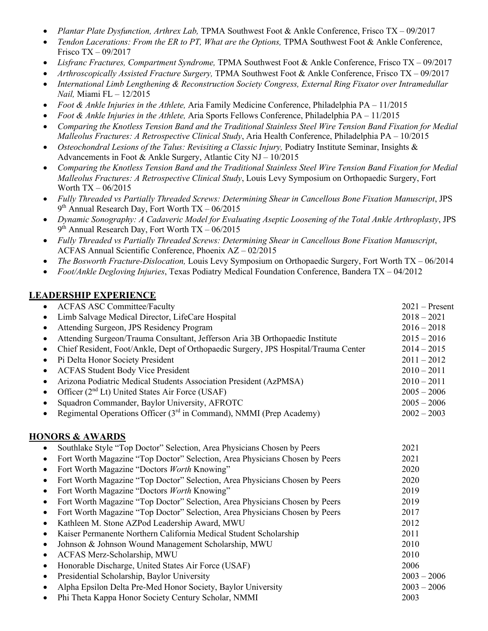- *Plantar Plate Dysfunction, Arthrex Lab,* TPMA Southwest Foot & Ankle Conference, Frisco TX 09/2017
- *Tendon Lacerations: From the ER to PT, What are the Options,* TPMA Southwest Foot & Ankle Conference, Frisco TX – 09/2017
- *Lisfranc Fractures, Compartment Syndrome,* TPMA Southwest Foot & Ankle Conference, Frisco TX 09/2017

• *Arthroscopically Assisted Fracture Surgery,* TPMA Southwest Foot & Ankle Conference, Frisco TX – 09/2017

- *International Limb Lengthening & Reconstruction Society Congress, External Ring Fixator over Intramedullar Nail,* Miami FL – 12/2015
- *Foot & Ankle Injuries in the Athlete,* Aria Family Medicine Conference, Philadelphia PA 11/2015
- *Foot & Ankle Injuries in the Athlete,* Aria Sports Fellows Conference, Philadelphia PA 11/2015
- *Comparing the Knotless Tension Band and the Traditional Stainless Steel Wire Tension Band Fixation for Medial Malleolus Fractures: A Retrospective Clinical Study*, Aria Health Conference, Philadelphia PA – 10/2015
- *Osteochondral Lesions of the Talus: Revisiting a Classic Injury,* Podiatry Institute Seminar, Insights & Advancements in Foot & Ankle Surgery, Atlantic City NJ – 10/2015
- *Comparing the Knotless Tension Band and the Traditional Stainless Steel Wire Tension Band Fixation for Medial Malleolus Fractures: A Retrospective Clinical Study*, Louis Levy Symposium on Orthopaedic Surgery, Fort Worth TX – 06/2015
- *Fully Threaded vs Partially Threaded Screws: Determining Shear in Cancellous Bone Fixation Manuscript*, JPS  $9<sup>th</sup>$  Annual Research Day, Fort Worth TX – 06/2015
- *Dynamic Sonography: A Cadaveric Model for Evaluating Aseptic Loosening of the Total Ankle Arthroplasty*, JPS  $9<sup>th</sup>$  Annual Research Day, Fort Worth TX – 06/2015
- *Fully Threaded vs Partially Threaded Screws: Determining Shear in Cancellous Bone Fixation Manuscript*, ACFAS Annual Scientific Conference, Phoenix AZ – 02/2015
- *The Bosworth Fracture-Dislocation,* Louis Levy Symposium on Orthopaedic Surgery, Fort Worth TX 06/2014
- *Foot/Ankle Degloving Injuries*, Texas Podiatry Medical Foundation Conference, Bandera TX 04/2012

#### **LEADERSHIP EXPERIENCE**

| <b>ACFAS ASC Committee/Faculty</b><br>$\bullet$                                           | $2021 -$ Present |
|-------------------------------------------------------------------------------------------|------------------|
| Limb Salvage Medical Director, LifeCare Hospital<br>$\bullet$                             | $2018 - 2021$    |
| Attending Surgeon, JPS Residency Program<br>$\bullet$                                     | $2016 - 2018$    |
| Attending Surgeon/Trauma Consultant, Jefferson Aria 3B Orthopaedic Institute<br>$\bullet$ | $2015 - 2016$    |
| Chief Resident, Foot/Ankle, Dept of Orthopaedic Surgery, JPS Hospital/Trauma Center<br>٠  | $2014 - 2015$    |
| Pi Delta Honor Society President<br>$\bullet$                                             | $2011 - 2012$    |
| <b>ACFAS Student Body Vice President</b><br>$\bullet$                                     | $2010 - 2011$    |
| Arizona Podiatric Medical Students Association President (AzPMSA)<br>$\bullet$            | $2010 - 2011$    |
| Officer (2 <sup>nd</sup> Lt) United States Air Force (USAF)<br>$\bullet$                  | $2005 - 2006$    |
| Squadron Commander, Baylor University, AFROTC<br>$\bullet$                                | $2005 - 2006$    |
| Regimental Operations Officer $(3rd$ in Command), NMMI (Prep Academy)<br>$\bullet$        | $2002 - 2003$    |
| <b>HONORS &amp; AWARDS</b>                                                                |                  |
| Southlake Style "Top Doctor" Selection, Area Physicians Chosen by Peers<br>$\bullet$      | 2021             |
| Fort Worth Magazine "Top Doctor" Selection, Area Physicians Chosen by Peers<br>$\bullet$  | 2021             |
| Fort Worth Magazine "Doctors Worth Knowing"<br>$\bullet$                                  | 2020             |
| Fort Worth Magazine "Top Doctor" Selection, Area Physicians Chosen by Peers<br>$\bullet$  | 2020             |
| Fort Worth Magazine "Doctors Worth Knowing"<br>$\bullet$                                  | 2019             |
| Fort Worth Magazine "Top Doctor" Selection, Area Physicians Chosen by Peers<br>$\bullet$  | 2019             |
| Fort Worth Magazine "Top Doctor" Selection, Area Physicians Chosen by Peers<br>$\bullet$  | 2017             |
| Kathleen M. Stone AZPod Leadership Award, MWU<br>$\bullet$                                | 2012             |
| Kaiser Permanente Northern California Medical Student Scholarship<br>$\bullet$            | 2011             |
| Johnson & Johnson Wound Management Scholarship, MWU<br>$\bullet$                          | 2010             |
| ACFAS Merz-Scholarship, MWU<br>$\bullet$                                                  | 2010             |
| Honorable Discharge, United States Air Force (USAF)<br>$\bullet$                          | 2006             |
| Presidential Scholarship, Baylor University<br>$\bullet$                                  | $2003 - 2006$    |
| Alpha Epsilon Delta Pre-Med Honor Society, Baylor University<br>$\bullet$                 | $2003 - 2006$    |
| Phi Theta Kappa Honor Society Century Scholar, NMMI<br>$\bullet$                          | 2003             |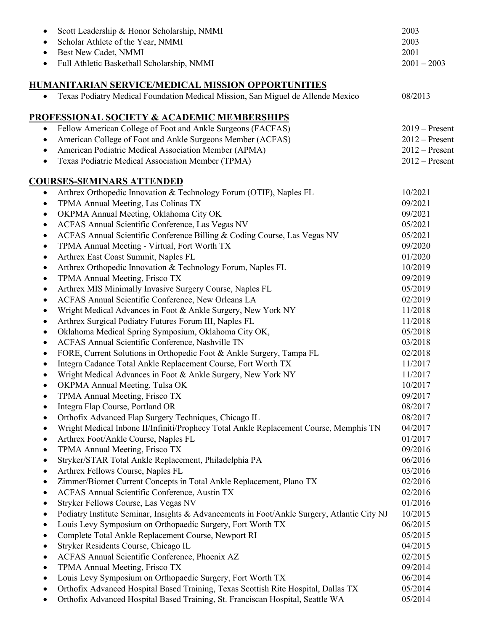| ٠         | Scott Leadership & Honor Scholarship, NMMI                                                  | 2003             |
|-----------|---------------------------------------------------------------------------------------------|------------------|
|           | Scholar Athlete of the Year, NMMI                                                           | 2003             |
|           | Best New Cadet, NMMI                                                                        | 2001             |
| $\bullet$ | Full Athletic Basketball Scholarship, NMMI                                                  | $2001 - 2003$    |
|           | HUMANITARIAN SERVICE/MEDICAL MISSION OPPORTUNITIES                                          |                  |
| $\bullet$ | Texas Podiatry Medical Foundation Medical Mission, San Miguel de Allende Mexico             | 08/2013          |
|           | PROFESSIONAL SOCIETY & ACADEMIC MEMBERSHIPS                                                 |                  |
| $\bullet$ | Fellow American College of Foot and Ankle Surgeons (FACFAS)                                 | $2019 -$ Present |
| $\bullet$ | American College of Foot and Ankle Surgeons Member (ACFAS)                                  | $2012 -$ Present |
| $\bullet$ | American Podiatric Medical Association Member (APMA)                                        | $2012$ – Present |
|           | Texas Podiatric Medical Association Member (TPMA)                                           | $2012$ – Present |
|           | <u>COURSES-SEMINARS ATTENDED</u>                                                            |                  |
| $\bullet$ | Arthrex Orthopedic Innovation & Technology Forum (OTIF), Naples FL                          | 10/2021          |
| $\bullet$ | TPMA Annual Meeting, Las Colinas TX                                                         | 09/2021          |
| ٠         | OKPMA Annual Meeting, Oklahoma City OK                                                      | 09/2021          |
| ٠         | ACFAS Annual Scientific Conference, Las Vegas NV                                            | 05/2021          |
| $\bullet$ | ACFAS Annual Scientific Conference Billing & Coding Course, Las Vegas NV                    | 05/2021          |
| ٠         | TPMA Annual Meeting - Virtual, Fort Worth TX                                                | 09/2020          |
| ٠         | Arthrex East Coast Summit, Naples FL                                                        | 01/2020          |
| ٠         | Arthrex Orthopedic Innovation & Technology Forum, Naples FL                                 | 10/2019          |
| ٠         | TPMA Annual Meeting, Frisco TX                                                              | 09/2019          |
| ٠         | Arthrex MIS Minimally Invasive Surgery Course, Naples FL                                    | 05/2019          |
| ٠         | ACFAS Annual Scientific Conference, New Orleans LA                                          | 02/2019          |
| ٠         | Wright Medical Advances in Foot & Ankle Surgery, New York NY                                | 11/2018          |
| ٠         | Arthrex Surgical Podiatry Futures Forum III, Naples FL                                      | 11/2018          |
| $\bullet$ | Oklahoma Medical Spring Symposium, Oklahoma City OK,                                        | 05/2018          |
| ٠         | ACFAS Annual Scientific Conference, Nashville TN                                            | 03/2018          |
| $\bullet$ | FORE, Current Solutions in Orthopedic Foot & Ankle Surgery, Tampa FL                        | 02/2018          |
| $\bullet$ | Integra Cadance Total Ankle Replacement Course, Fort Worth TX                               | 11/2017          |
| $\bullet$ | Wright Medical Advances in Foot & Ankle Surgery, New York NY                                | 11/2017          |
|           | OKPMA Annual Meeting, Tulsa OK                                                              | 10/2017          |
| $\bullet$ | TPMA Annual Meeting, Frisco TX                                                              | 09/2017          |
| $\bullet$ | Integra Flap Course, Portland OR                                                            | 08/2017          |
| ٠         | Orthofix Advanced Flap Surgery Techniques, Chicago IL                                       | 08/2017          |
| ٠         | Wright Medical Inbone II/Infiniti/Prophecy Total Ankle Replacement Course, Memphis TN       | 04/2017          |
| ٠         | Arthrex Foot/Ankle Course, Naples FL                                                        | 01/2017          |
| ٠         | TPMA Annual Meeting, Frisco TX                                                              | 09/2016          |
| ٠         | Stryker/STAR Total Ankle Replacement, Philadelphia PA                                       | 06/2016          |
| ٠         | Arthrex Fellows Course, Naples FL                                                           | 03/2016          |
| ٠         | Zimmer/Biomet Current Concepts in Total Ankle Replacement, Plano TX                         | 02/2016          |
| ٠         | ACFAS Annual Scientific Conference, Austin TX                                               | 02/2016          |
| ٠         | Stryker Fellows Course, Las Vegas NV                                                        | 01/2016          |
| ٠         | Podiatry Institute Seminar, Insights & Advancements in Foot/Ankle Surgery, Atlantic City NJ | 10/2015          |
| ٠         | Louis Levy Symposium on Orthopaedic Surgery, Fort Worth TX                                  | 06/2015          |
| ٠         | Complete Total Ankle Replacement Course, Newport RI                                         | 05/2015          |
| $\bullet$ | Stryker Residents Course, Chicago IL                                                        | 04/2015          |
| ٠         | ACFAS Annual Scientific Conference, Phoenix AZ                                              | 02/2015          |
| ٠         | TPMA Annual Meeting, Frisco TX                                                              | 09/2014          |
| ٠         | Louis Levy Symposium on Orthopaedic Surgery, Fort Worth TX                                  | 06/2014          |
| ٠         | Orthofix Advanced Hospital Based Training, Texas Scottish Rite Hospital, Dallas TX          | 05/2014          |
| $\bullet$ | Orthofix Advanced Hospital Based Training, St. Franciscan Hospital, Seattle WA              | 05/2014          |